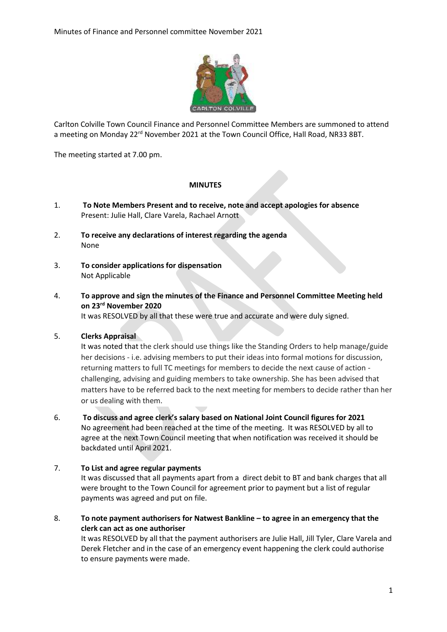

Carlton Colville Town Council Finance and Personnel Committee Members are summoned to attend a meeting on Monday 22<sup>rd</sup> November 2021 at the Town Council Office, Hall Road, NR33 8BT.

The meeting started at 7.00 pm.

## **MINUTES**

- 1. **To Note Members Present and to receive, note and accept apologies for absence** Present: Julie Hall, Clare Varela, Rachael Arnott
- 2. **To receive any declarations of interest regarding the agenda** None
- 3. **To consider applications for dispensation** Not Applicable
- 4. **To approve and sign the minutes of the Finance and Personnel Committee Meeting held on 23rd November 2020**

It was RESOLVED by all that these were true and accurate and were duly signed.

## 5. **Clerks Appraisal**

It was noted that the clerk should use things like the Standing Orders to help manage/guide her decisions - i.e. advising members to put their ideas into formal motions for discussion, returning matters to full TC meetings for members to decide the next cause of action challenging, advising and guiding members to take ownership. She has been advised that matters have to be referred back to the next meeting for members to decide rather than her or us dealing with them.

6. **To discuss and agree clerk's salary based on National Joint Council figures for 2021**

No agreement had been reached at the time of the meeting. It was RESOLVED by all to agree at the next Town Council meeting that when notification was received it should be backdated until April 2021.

## 7. **To List and agree regular payments**

It was discussed that all payments apart from a direct debit to BT and bank charges that all were brought to the Town Council for agreement prior to payment but a list of regular payments was agreed and put on file.

8. **To note payment authorisers for Natwest Bankline – to agree in an emergency that the clerk can act as one authoriser**

It was RESOLVED by all that the payment authorisers are Julie Hall, Jill Tyler, Clare Varela and Derek Fletcher and in the case of an emergency event happening the clerk could authorise to ensure payments were made.